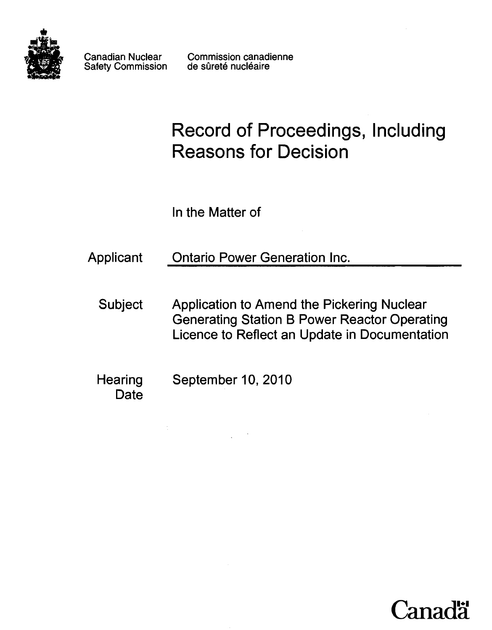

Safety Commission

Canadian Nuclear Commission canadienne<br>Safety Commission de sûreté nucléaire

# **Record of Proceedings, Including Reasons for Decision**

ln the Matter of

Applicant Ontario Power Generation Inc.

Subject Application to Amend the Pickering Nuclear Generating Station B Power Reactor Operating Licence to Reflect an Update in Documentation

**Hearing Date** September 10, 2010

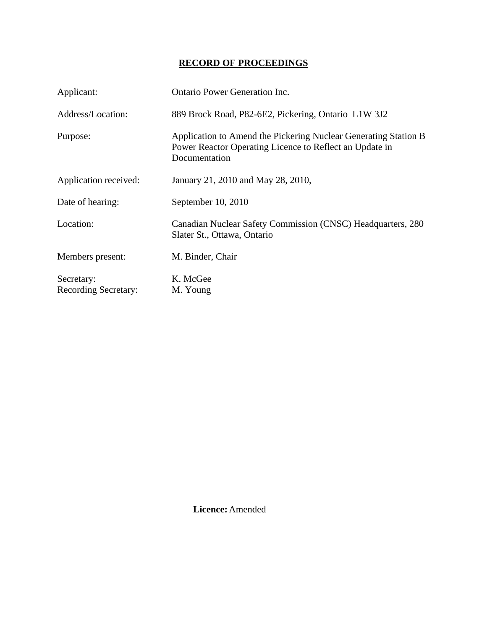## **RECORD OF PROCEEDINGS**

| Applicant:                                | <b>Ontario Power Generation Inc.</b>                                                                                                        |
|-------------------------------------------|---------------------------------------------------------------------------------------------------------------------------------------------|
| Address/Location:                         | 889 Brock Road, P82-6E2, Pickering, Ontario L1W 3J2                                                                                         |
| Purpose:                                  | Application to Amend the Pickering Nuclear Generating Station B<br>Power Reactor Operating Licence to Reflect an Update in<br>Documentation |
| Application received:                     | January 21, 2010 and May 28, 2010,                                                                                                          |
| Date of hearing:                          | September 10, 2010                                                                                                                          |
| Location:                                 | Canadian Nuclear Safety Commission (CNSC) Headquarters, 280<br>Slater St., Ottawa, Ontario                                                  |
| Members present:                          | M. Binder, Chair                                                                                                                            |
| Secretary:<br><b>Recording Secretary:</b> | K. McGee<br>M. Young                                                                                                                        |

 **Licence:** Amended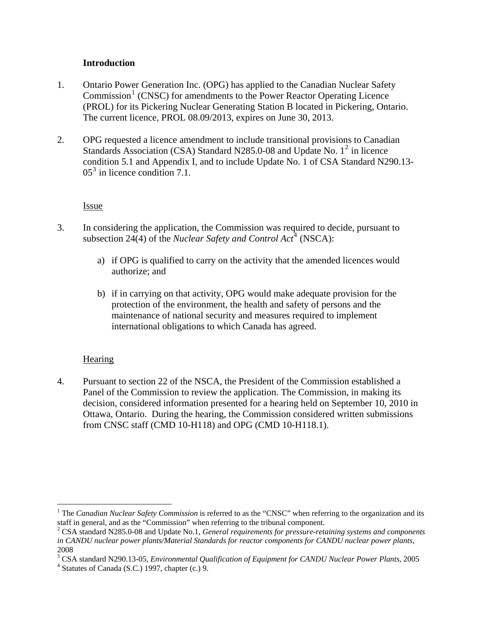#### **Introduction**

- <span id="page-3-0"></span>1. Ontario Power Generation Inc. (OPG) has applied to the Canadian Nuclear Safety Commission<sup>[1](#page-3-1)</sup> (CNSC) for amendments to the Power Reactor Operating Licence (PROL) for its Pickering Nuclear Generating Station B located in Pickering, Ontario. The current licence, PROL 08.09/2013, expires on June 30, 2013.
- 2. OPG requested a licence amendment to include transitional provisions to Canadian Standards Association (CSA) Standard N[2](#page-3-2)85.0-08 and Update No.  $1^2$  in licence condition 5.1 and Appendix I, and to include Update No. 1 of CSA Standard N290.13- 05<sup>[3](#page-3-3)</sup> in licence condition 7.1.

**Issue** 

- 3. In considering the application, the Commission was required to decide, pursuant to subsection 2[4](#page-3-4)(4) of the *Nuclear Safety and Control Act*<sup>4</sup> (NSCA):
	- a) if OPG is qualified to carry on the activity that the amended licences would authorize; and
	- b) if in carrying on that activity, OPG would make adequate provision for the protection of the environment, the health and safety of persons and the maintenance of national security and measures required to implement international obligations to which Canada has agreed.

### Hearing

 $\overline{a}$ 

4. Pursuant to section 22 of the NSCA, the President of the Commission established a Panel of the Commission to review the application. The Commission, in making its decision, considered information presented for a hearing held on September 10, 2010 in Ottawa, Ontario. During the hearing, the Commission considered written submissions from CNSC staff (CMD 10-H118) and OPG (CMD 10-H118.1).

<span id="page-3-1"></span><sup>&</sup>lt;sup>1</sup> The *Canadian Nuclear Safety Commission* is referred to as the "CNSC" when referring to the organization and its staff in general, and as the "Commission" when referring to the tribunal component.

<span id="page-3-2"></span><sup>2</sup> CSA standard N285.0-08 and Update No.1, *General requirements for pressure-retaining systems and components in CANDU nuclear power plants/Material Standards for reactor components for CANDU nuclear power plants*, 2008

<span id="page-3-3"></span><sup>&</sup>lt;sup>3</sup> CSA standard N290.13-05, *Environmental Qualification of Equipment for CANDU Nuclear Power Plants*, 2005

<span id="page-3-4"></span> $4$  Statutes of Canada (S.C.) 1997, chapter (c.) 9.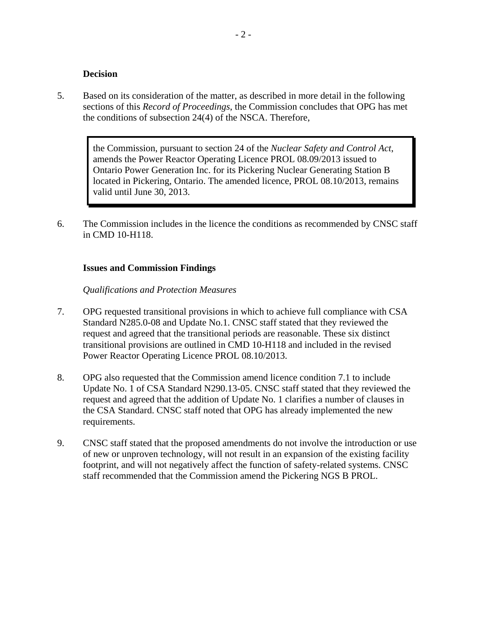#### **Decision**

<span id="page-4-0"></span>5. Based on its consideration of the matter, as described in more detail in the following sections of this *Record of Proceedings*, the Commission concludes that OPG has met the conditions of subsection 24(4) of the NSCA. Therefore,

> the Commission, pursuant to section 24 of the *Nuclear Safety and Control Act*, amends the Power Reactor Operating Licence PROL 08.09/2013 issued to Ontario Power Generation Inc. for its Pickering Nuclear Generating Station B located in Pickering, Ontario. The amended licence, PROL 08.10/2013, remains valid until June 30, 2013.

6. The Commission includes in the licence the conditions as recommended by CNSC staff in CMD 10-H118.

#### **Issues and Commission Findings**

#### *Qualifications and Protection Measures*

- 7. OPG requested transitional provisions in which to achieve full compliance with CSA Standard N285.0-08 and Update No.1. CNSC staff stated that they reviewed the request and agreed that the transitional periods are reasonable. These six distinct transitional provisions are outlined in CMD 10-H118 and included in the revised Power Reactor Operating Licence PROL 08.10/2013.
- 8. OPG also requested that the Commission amend licence condition 7.1 to include Update No. 1 of CSA Standard N290.13-05. CNSC staff stated that they reviewed the request and agreed that the addition of Update No. 1 clarifies a number of clauses in the CSA Standard. CNSC staff noted that OPG has already implemented the new requirements.
- 9. CNSC staff stated that the proposed amendments do not involve the introduction or use of new or unproven technology, will not result in an expansion of the existing facility footprint, and will not negatively affect the function of safety-related systems. CNSC staff recommended that the Commission amend the Pickering NGS B PROL.